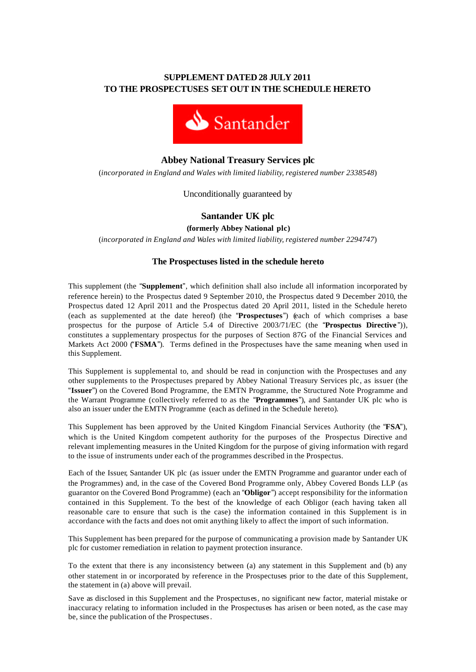## **SUPPLEMENT DATED 28 JULY 2011 TO THE PROSPECTUSES SET OUT IN THE SCHEDULE HERETO**



# **Abbey National Treasury Services plc**

(*incorporated in England and Wales with limited liability, registered number 2338548*)

Unconditionally guaranteed by

# **Santander UK plc**

**(formerly Abbey National plc)**

(*incorporated in England and Wales with limited liability, registered number 2294747*)

## **The Prospectuses listed in the schedule hereto**

This supplement (the "**Supplement**", which definition shall also include all information incorporated by reference herein) to the Prospectus dated 9 September 2010, the Prospectus dated 9 December 2010, the Prospectus dated 12 April 2011 and the Prospectus dated 20 April 2011, listed in the Schedule hereto (each as supplemented at the date hereof) (the "**Prospectuses**") (each of which comprises a base prospectus for the purpose of Article 5.4 of Directive 2003/71/EC (the "**Prospectus Directive** ")), constitutes a supplementary prospectus for the purposes of Section 87G of the Financial Services and Markets Act 2000 ("**FSMA**"). Terms defined in the Prospectuses have the same meaning when used in this Supplement.

This Supplement is supplemental to, and should be read in conjunction with the Prospectuses and any other supplements to the Prospectuses prepared by Abbey National Treasury Services plc, as issuer (the "**Issuer**") on the Covered Bond Programme, the EMTN Programme, the Structured Note Programme and the Warrant Programme (collectively referred to as the "**Programmes**"), and Santander UK plc who is also an issuer under the EMTN Programme (each as defined in the Schedule hereto).

This Supplement has been approved by the United Kingdom Financial Services Authority (the "**FSA**"), which is the United Kingdom competent authority for the purposes of the Prospectus Directive and relevant implementing measures in the United Kingdom for the purpose of giving information with regard to the issue of instruments under each of the programmes described in the Prospectus.

Each of the Issuer, Santander UK plc (as issuer under the EMTN Programme and guarantor under each of the Programmes) and, in the case of the Covered Bond Programme only, Abbey Covered Bonds LLP (as guarantor on the Covered Bond Programme) (each an "**Obligor**") accept responsibility for the information contained in this Supplement. To the best of the knowledge of each Obligor (each having taken all reasonable care to ensure that such is the case) the information contained in this Supplement is in accordance with the facts and does not omit anything likely to affect the import of such information.

This Supplement has been prepared for the purpose of communicating a provision made by Santander UK plc for customer remediation in relation to payment protection insurance.

To the extent that there is any inconsistency between (a) any statement in this Supplement and (b) any other statement in or incorporated by reference in the Prospectuses prior to the date of this Supplement, the statement in (a) above will prevail.

Save as disclosed in this Supplement and the Prospectuses, no significant new factor, material mistake or inaccuracy relating to information included in the Prospectuses has arisen or been noted, as the case may be, since the publication of the Prospectuses.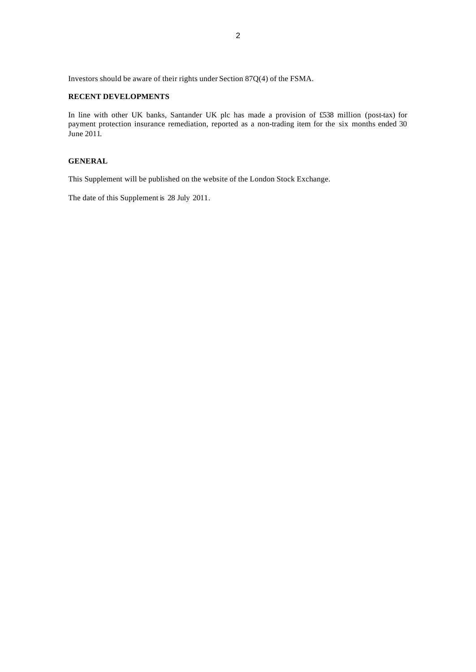Investors should be aware of their rights under Section 87Q(4) of the FSMA.

#### **RECENT DEVELOPMENTS**

In line with other UK banks, Santander UK plc has made a provision of £538 million (post-tax) for payment protection insurance remediation, reported as a non-trading item for the six months ended 30 June 2011.

## **GENERAL**

This Supplement will be published on the website of the London Stock Exchange.

The date of this Supplement is 28 July 2011.